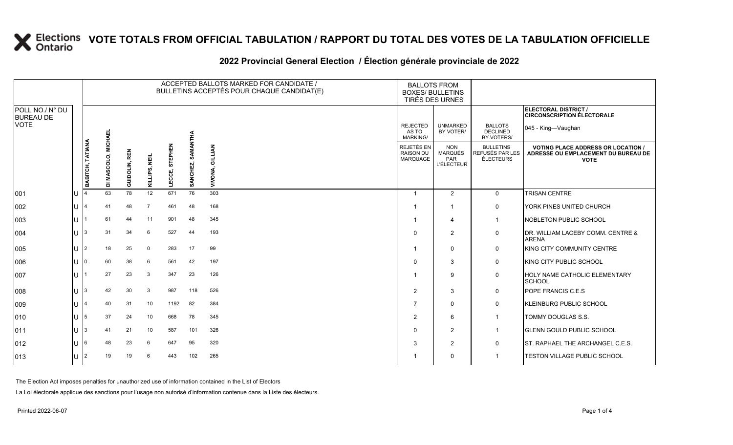### **VOTE TOTALS FROM OFFICIAL TABULATION / RAPPORT DU TOTAL DES VOTES DE LA TABULATION OFFICIELLE**

#### **2022 Provincial General Election / Élection générale provinciale de 2022**

|                                     |    |                         |                     |               |                  |                   |                      | ACCEPTED BALLOTS MARKED FOR CANDIDATE /<br>BULLETINS ACCEPTÉS POUR CHAQUE CANDIDAT(E) | <b>BALLOTS FROM</b><br><b>BOXES/ BULLETINS</b><br>TIRÉS DES URNES |                                                          |                                                  |                                                                                                 |
|-------------------------------------|----|-------------------------|---------------------|---------------|------------------|-------------------|----------------------|---------------------------------------------------------------------------------------|-------------------------------------------------------------------|----------------------------------------------------------|--------------------------------------------------|-------------------------------------------------------------------------------------------------|
| POLL NO./ N° DU<br><b>BUREAU DE</b> |    |                         |                     |               |                  |                   |                      |                                                                                       |                                                                   |                                                          |                                                  | <b>ELECTORAL DISTRICT /</b><br><b>CIRCONSCRIPTION ÉLECTORALE</b>                                |
| <b>VOTE</b>                         |    |                         |                     |               |                  |                   |                      |                                                                                       | <b>REJECTED</b><br>AS TO<br><b>MARKING/</b>                       | <b>UNMARKED</b><br>BY VOTER/                             | <b>BALLOTS</b><br><b>DECLINED</b><br>BY VOTERS/  | 045 - King—Vaughan                                                                              |
|                                     |    | <b>BABITCH, TATIANA</b> | DI MASCOLO, MICHAEL | GUIDOLIN, REN | NEIL<br>KILLIPS, | STEPHEN<br>LECCE, | SAMANTHA<br>SANCHEZ, | GILLIAN<br><b>VIVONA</b>                                                              | REJETÉS EN<br><b>RAISON DU</b><br>MARQUAGE                        | <b>NON</b><br><b>MARQUÉS</b><br>PAR<br><b>L'ÉLECTEUR</b> | <b>BULLETINS</b><br>REFUSÉS PAR LES<br>ÉLECTEURS | <b>VOTING PLACE ADDRESS OR LOCATION /</b><br>ADRESSE OU EMPLACEMENT DU BUREAU DE<br><b>VOTE</b> |
| 001                                 | lu |                         | 63                  | 78            | 12               | 671               | 76                   | 303                                                                                   |                                                                   | 2                                                        | $\mathbf 0$                                      | <b>TRISAN CENTRE</b>                                                                            |
| 002                                 | lu |                         | 41                  | 48            | $\overline{7}$   | 461               | 48                   | 168                                                                                   |                                                                   | $\overline{\mathbf{1}}$                                  | $\mathbf 0$                                      | YORK PINES UNITED CHURCH                                                                        |
| 003                                 | lu |                         | 61                  | 44            | 11               | 901               | 48                   | 345                                                                                   |                                                                   | 4                                                        | $\overline{1}$                                   | <b>NOBLETON PUBLIC SCHOOL</b>                                                                   |
| 004                                 | lu |                         | 31                  | 34            | 6                | 527               | 44                   | 193                                                                                   | $\Omega$                                                          | 2                                                        | $\mathbf 0$                                      | DR. WILLIAM LACEBY COMM. CENTRE &<br><b>ARENA</b>                                               |
| 005                                 | lu | 2                       | 18                  | 25            | $\mathbf 0$      | 283               | 17                   | 99                                                                                    |                                                                   | $\mathbf 0$                                              | $\mathsf{O}$                                     | KING CITY COMMUNITY CENTRE                                                                      |
| 006                                 | lu |                         | 60                  | 38            | 6                | 561               | 42                   | 197                                                                                   |                                                                   | 3                                                        | $\mathbf 0$                                      | <b>KING CITY PUBLIC SCHOOL</b>                                                                  |
| 007                                 | ΙU |                         | 27                  | 23            | 3                | 347               | 23                   | 126                                                                                   |                                                                   | 9                                                        | $\mathsf{O}$                                     | HOLY NAME CATHOLIC ELEMENTARY<br><b>SCHOOL</b>                                                  |
| 008                                 | lu |                         | 42                  | 30            | 3                | 987               | 118                  | 526                                                                                   | $\overline{2}$                                                    | 3                                                        | $\mathbf 0$                                      | POPE FRANCIS C.E.S                                                                              |
| 009                                 | lu |                         | 40                  | 31            | 10               | 1192              | 82                   | 384                                                                                   | 7                                                                 | $\mathbf 0$                                              | $\mathsf{O}$                                     | KLEINBURG PUBLIC SCHOOL                                                                         |
| $ 010\rangle$                       | Iυ |                         | 37                  | 24            | 10               | 668               | 78                   | 345                                                                                   | 2                                                                 | 6                                                        | $\mathbf{1}$                                     | TOMMY DOUGLAS S.S.                                                                              |
| $ 011\rangle$                       | lu |                         | 41                  | 21            | 10               | 587               | 101                  | 326                                                                                   | $\Omega$                                                          | 2                                                        | $\overline{1}$                                   | <b>GLENN GOULD PUBLIC SCHOOL</b>                                                                |
| $ 012\rangle$                       | lu |                         | 48                  | 23            | 6                | 647               | 95                   | 320                                                                                   | 3                                                                 | 2                                                        | $\mathbf 0$                                      | ST. RAPHAEL THE ARCHANGEL C.E.S.                                                                |
| $ 013\rangle$                       | Iυ |                         | 19                  | 19            | 6                | 443               | 102                  | 265                                                                                   |                                                                   | $\mathbf 0$                                              | $\mathbf{1}$                                     | <b>TESTON VILLAGE PUBLIC SCHOOL</b>                                                             |

The Election Act imposes penalties for unauthorized use of information contained in the List of Electors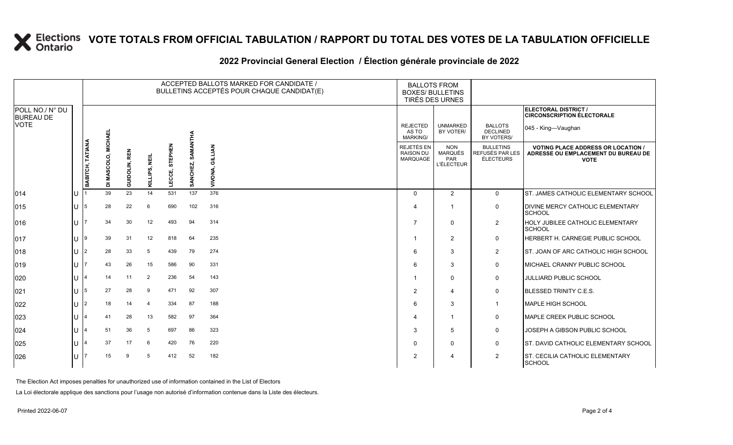# **X** Elections VOTE TOTALS FROM OFFICIAL TABULATION / RAPPORT DU TOTAL DES VOTES DE LA TABULATION OFFICIELLE

|                                     |     | ACCEPTED BALLOTS MARKED FOR CANDIDATE /<br>BULLETINS ACCEPTÉS POUR CHAQUE CANDIDAT(E) |                |               |                |                   |                      |                    |                                                          | <b>BALLOTS FROM</b><br><b>BOXES/ BULLETINS</b><br>TIRÉS DES URNES |                                                         |                                                                                                 |
|-------------------------------------|-----|---------------------------------------------------------------------------------------|----------------|---------------|----------------|-------------------|----------------------|--------------------|----------------------------------------------------------|-------------------------------------------------------------------|---------------------------------------------------------|-------------------------------------------------------------------------------------------------|
| POLL NO./ N° DU<br><b>BUREAU DE</b> |     |                                                                                       |                |               |                |                   |                      |                    |                                                          |                                                                   |                                                         | ELECTORAL DISTRICT /<br><b>CIRCONSCRIPTION ÉLECTORALE</b>                                       |
| <b>VOTE</b>                         |     |                                                                                       | <b>MICHAEL</b> |               |                |                   |                      |                    | <b>REJECTED</b><br>AS TO<br><b>MARKING/</b>              | <b>UNMARKED</b><br>BY VOTER/                                      | <b>BALLOTS</b><br><b>DECLINED</b><br>BY VOTERS/         | 045 - King-Vaughan                                                                              |
|                                     |     | <b>BABITCH, TATIANA</b>                                                               | DI MASCOLO,    | GUIDOLIN, REN | KILLIPS, NEIL  | STEPHEN<br>LECCE, | SAMANTHA<br>SANCHEZ, | GILLIAN<br>VIVONA, | <b>REJETÉS EN</b><br><b>RAISON DU</b><br><b>MARQUAGE</b> | <b>NON</b><br><b>MARQUÉS</b><br>PAR<br><b>L'ÉLECTEUR</b>          | <b>BULLETINS</b><br>REFUSÉS PAR LES<br><b>ÉLECTEURS</b> | <b>VOTING PLACE ADDRESS OR LOCATION /</b><br>ADRESSE OU EMPLACEMENT DU BUREAU DE<br><b>VOTE</b> |
| 014                                 |     |                                                                                       | 39             | 23            | 14             | 531               | 137                  | 376                | $\Omega$                                                 | 2                                                                 | $\mathbf 0$                                             | ST. JAMES CATHOLIC ELEMENTARY SCHOOL                                                            |
| 015                                 | U   | l5                                                                                    | 28             | 22            | 6              | 690               | 102                  | 316                | 4                                                        |                                                                   | $\mathbf 0$                                             | <b>IDIVINE MERCY CATHOLIC ELEMENTARY</b><br><b>SCHOOL</b>                                       |
| 016                                 | U   |                                                                                       | 34             | 30            | 12             | 493               | 94                   | 314                | $\overline{7}$                                           | $\Omega$                                                          | $\overline{2}$                                          | HOLY JUBILEE CATHOLIC ELEMENTARY<br><b>SCHOOL</b>                                               |
| 017                                 | ΠT  | I9                                                                                    | 39             | 31            | 12             | 818               | 64                   | 235                |                                                          | $\overline{2}$                                                    | $\mathbf 0$                                             | HERBERT H. CARNEGIE PUBLIC SCHOOL                                                               |
| 018                                 | U   | 12                                                                                    | 28             | 33            | 5              | 439               | 79                   | 274                | 6                                                        | 3                                                                 | $\overline{2}$                                          | ST. JOAN OF ARC CATHOLIC HIGH SCHOOL                                                            |
| 019                                 | U   |                                                                                       | 43             | 26            | 15             | 586               | 90                   | 331                | 6                                                        | 3                                                                 | 0                                                       | MICHAEL CRANNY PUBLIC SCHOOL                                                                    |
| 020                                 | U   |                                                                                       | 14             | 11            | $\overline{2}$ | 236               | 54                   | 143                |                                                          | $\Omega$                                                          | 0                                                       | JULLIARD PUBLIC SCHOOL                                                                          |
| 021                                 | U   | 15                                                                                    | 27             | 28            | 9              | 471               | 92                   | 307                | 2                                                        | $\boldsymbol{\Delta}$                                             | $\mathbf 0$                                             | <b>BLESSED TRINITY C.E.S.</b>                                                                   |
| 022                                 | lU. | l2                                                                                    | 18             | 14            | $\overline{4}$ | 334               | 87                   | 188                | 6                                                        | 3                                                                 | $\mathbf 1$                                             | <b>MAPLE HIGH SCHOOL</b>                                                                        |
| 023                                 | ΠT  |                                                                                       | 41             | 28            | 13             | 582               | 97                   | 364                | 4                                                        | -1                                                                | 0                                                       | MAPLE CREEK PUBLIC SCHOOL                                                                       |
| 024                                 | lU. |                                                                                       | 51             | 36            | 5              | 697               | 86                   | 323                | 3                                                        | 5                                                                 | $\mathbf 0$                                             | JOSEPH A GIBSON PUBLIC SCHOOL                                                                   |
| 025                                 | U   |                                                                                       | 37             | 17            | 6              | 420               | 76                   | 220                | 0                                                        | $\Omega$                                                          | 0                                                       | ST. DAVID CATHOLIC ELEMENTARY SCHOOL                                                            |
| 026                                 | U   |                                                                                       | 15             | 9             | 5              | 412               | 52                   | 182                | 2                                                        | 4                                                                 | $\overline{2}$                                          | ST. CECILIA CATHOLIC ELEMENTARY<br><b>SCHOOL</b>                                                |

### **2022 Provincial General Election / Élection générale provinciale de 2022**

The Election Act imposes penalties for unauthorized use of information contained in the List of Electors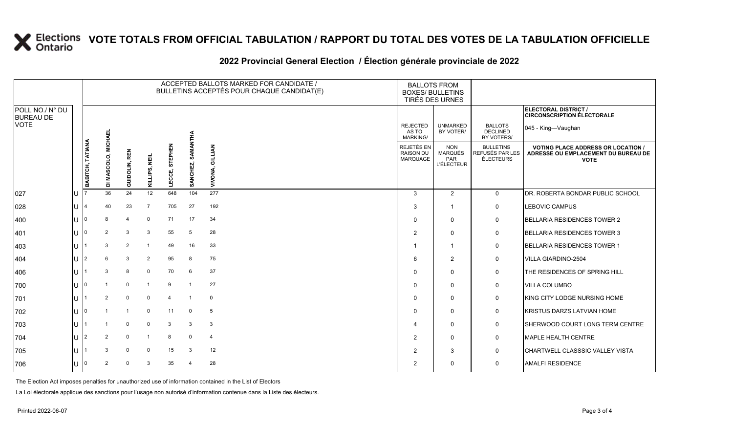# **X** Elections VOTE TOTALS FROM OFFICIAL TABULATION / RAPPORT DU TOTAL DES VOTES DE LA TABULATION OFFICIELLE

|                                     |     |                         |                |                |                |                        |                      | ACCEPTED BALLOTS MARKED FOR CANDIDATE /<br>BULLETINS ACCEPTÉS POUR CHAQUE CANDIDAT(E) | <b>BOXES/ BULLETINS</b>                           | <b>BALLOTS FROM</b><br>TIRÉS DES URNES                   |                                                  |                                                                                                 |
|-------------------------------------|-----|-------------------------|----------------|----------------|----------------|------------------------|----------------------|---------------------------------------------------------------------------------------|---------------------------------------------------|----------------------------------------------------------|--------------------------------------------------|-------------------------------------------------------------------------------------------------|
| POLL NO./ N° DU<br><b>BUREAU DE</b> |     |                         |                |                |                |                        |                      |                                                                                       |                                                   |                                                          |                                                  | ELECTORAL DISTRICT /<br><b>CIRCONSCRIPTION ÉLECTORALE</b>                                       |
| <b>VOTE</b>                         |     |                         | <b>MICHAEL</b> |                |                |                        |                      |                                                                                       | <b>REJECTED</b><br>AS TO<br><b>MARKING/</b>       | <b>UNMARKED</b><br>BY VOTER/                             | <b>BALLOTS</b><br><b>DECLINED</b><br>BY VOTERS/  | 045 - King-Vaughan                                                                              |
|                                     |     | <b>BABITCH, TATIANA</b> | DI MASCOLO,    | GUIDOLIN, REN  | KILLIPS, NEIL  | STEPHEN<br>шî<br>LECCE | SAMANTHA<br>SANCHEZ, | GILLIAN<br>VIVONA,                                                                    | REJETÉS EN<br><b>RAISON DU</b><br><b>MARQUAGE</b> | <b>NON</b><br><b>MARQUÉS</b><br>PAR<br><b>L'ÉLECTEUR</b> | <b>BULLETINS</b><br>REFUSÉS PAR LES<br>ÉLECTEURS | <b>VOTING PLACE ADDRESS OR LOCATION /</b><br>ADRESSE OU EMPLACEMENT DU BUREAU DE<br><b>VOTE</b> |
| 027                                 |     |                         | 36             | 24             | 12             | 648                    | 104                  | 277                                                                                   | 3                                                 | $\overline{2}$                                           | $\mathbf{0}$                                     | DR. ROBERTA BONDAR PUBLIC SCHOOL                                                                |
| 028                                 |     |                         | 40             | 23             | $\overline{7}$ | 705                    | 27                   | 192                                                                                   | 3                                                 |                                                          | $\mathbf 0$                                      | LEBOVIC CAMPUS                                                                                  |
| 400                                 |     |                         | 8              | $\overline{4}$ | $\mathbf 0$    | 71                     | 17                   | 34                                                                                    | $\mathbf{0}$                                      | $\Omega$                                                 | $\mathbf 0$                                      | <b>BELLARIA RESIDENCES TOWER 2</b>                                                              |
| 401                                 |     |                         | $\overline{2}$ | 3              | 3              | 55                     | 5                    | 28                                                                                    | $\overline{2}$                                    | $\Omega$                                                 | $\mathbf 0$                                      | <b>BELLARIA RESIDENCES TOWER 3</b>                                                              |
| 403                                 |     |                         | 3              | $\overline{2}$ |                | 49                     | 16                   | 33                                                                                    | 1                                                 |                                                          | $\mathbf 0$                                      | <b>BELLARIA RESIDENCES TOWER 1</b>                                                              |
| 404                                 |     |                         | 6              | 3              | $\overline{2}$ | 95                     | 8                    | 75                                                                                    | 6                                                 | 2                                                        | $\mathbf 0$                                      | <b>VILLA GIARDINO-2504</b>                                                                      |
| 406                                 |     |                         | 3              | 8              | $\Omega$       | 70                     | 6                    | 37                                                                                    | $\mathbf{0}$                                      | $\mathbf 0$                                              | 0                                                | THE RESIDENCES OF SPRING HILL                                                                   |
| 700                                 |     |                         |                | $\mathbf 0$    |                | 9                      |                      | 27                                                                                    | $\Omega$                                          | $\Omega$                                                 | $\mathbf 0$                                      | VILLA COLUMBO                                                                                   |
| 701                                 |     |                         | $\overline{2}$ | $\mathbf 0$    | $\Omega$       | $\overline{4}$         | $\overline{1}$       | $\mathbf 0$                                                                           | $\mathbf{0}$                                      | $\mathbf 0$                                              | $\mathbf 0$                                      | KING CITY LODGE NURSING HOME                                                                    |
| 702                                 |     |                         |                | $\overline{1}$ | $\Omega$       | 11                     | $\mathbf 0$          | 5                                                                                     | $\mathbf{0}$                                      | $\Omega$                                                 | $\mathbf 0$                                      | KRISTUS DARZS LATVIAN HOME                                                                      |
| 703                                 |     |                         |                | $\mathbf 0$    | $\Omega$       | 3                      | 3                    | 3                                                                                     | 4                                                 | $\Omega$                                                 | $\mathbf 0$                                      | SHERWOOD COURT LONG TERM CENTRE                                                                 |
| 704                                 |     |                         | $\overline{2}$ | $\mathbf 0$    |                | 8                      | $\mathbf 0$          | $\overline{4}$                                                                        | $\overline{2}$                                    | $\Omega$                                                 | $\mathbf 0$                                      | <b>MAPLE HEALTH CENTRE</b>                                                                      |
| 705                                 |     |                         | 3              | $\mathbf 0$    | $\mathbf 0$    | 15                     | 3                    | 12                                                                                    | $\overline{2}$                                    | 3                                                        | $\mathbf 0$                                      | <b>CHARTWELL CLASSSIC VALLEY VISTA</b>                                                          |
| 706                                 | lU. | 0                       | 2              | 0              | 3              | 35                     | $\overline{4}$       | 28                                                                                    | 2                                                 | $\Omega$                                                 | $\Omega$                                         | <b>AMALFI RESIDENCE</b>                                                                         |

#### **2022 Provincial General Election / Élection générale provinciale de 2022**

The Election Act imposes penalties for unauthorized use of information contained in the List of Electors